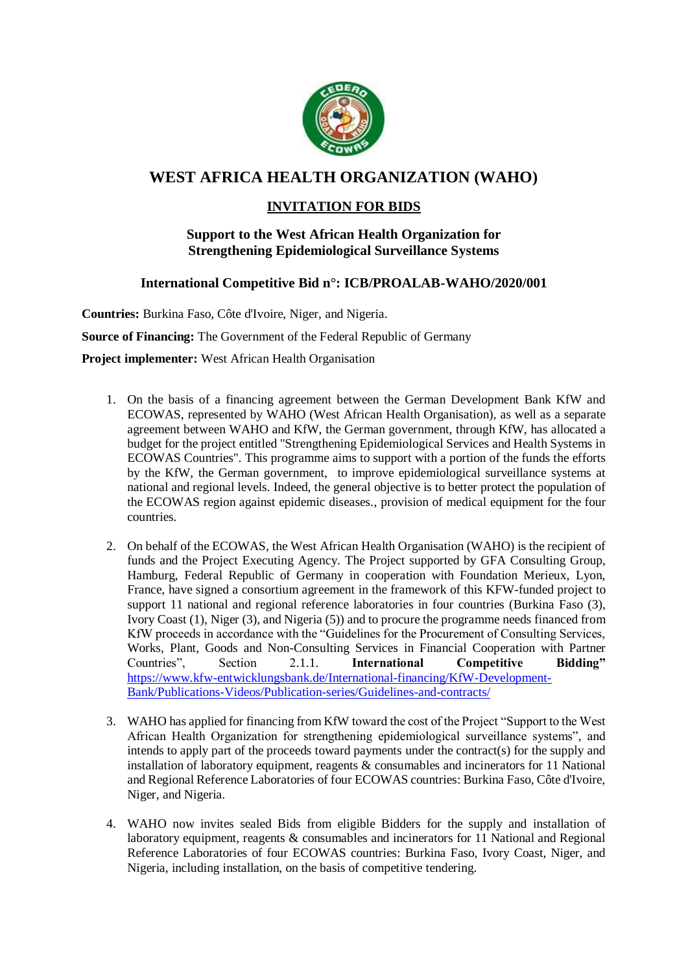

# **WEST AFRICA HEALTH ORGANIZATION (WAHO)**

## **INVITATION FOR BIDS**

### **Support to the West African Health Organization for Strengthening Epidemiological Surveillance Systems**

### **International Competitive Bid n°: ICB/PROALAB-WAHO/2020/001**

**Countries:** Burkina Faso, Côte d'Ivoire, Niger, and Nigeria.

**Source of Financing:** The Government of the Federal Republic of Germany

**Project implementer:** West African Health Organisation

- 1. On the basis of a financing agreement between the German Development Bank KfW and ECOWAS, represented by WAHO (West African Health Organisation), as well as a separate agreement between WAHO and KfW, the German government, through KfW, has allocated a budget for the project entitled "Strengthening Epidemiological Services and Health Systems in ECOWAS Countries". This programme aims to support with a portion of the funds the efforts by the KfW, the German government, to improve epidemiological surveillance systems at national and regional levels. Indeed, the general objective is to better protect the population of the ECOWAS region against epidemic diseases., provision of medical equipment for the four countries.
- 2. On behalf of the ECOWAS, the West African Health Organisation (WAHO) is the recipient of funds and the Project Executing Agency. The Project supported by GFA Consulting Group, Hamburg, Federal Republic of Germany in cooperation with Foundation Merieux, Lyon, France, have signed a consortium agreement in the framework of this KFW-funded project to support 11 national and regional reference laboratories in four countries (Burkina Faso (3), Ivory Coast (1), Niger (3), and Nigeria (5)) and to procure the programme needs financed from KfW proceeds in accordance with the "Guidelines for the Procurement of Consulting Services, Works, Plant, Goods and Non-Consulting Services in Financial Cooperation with Partner Countries". Section 2.1.1. International Competitive Bidding" Section 2.1.1. **International Competitive Bidding"** [https://www.kfw-entwicklungsbank.de/International-financing/KfW-Development-](https://www.kfw-entwicklungsbank.de/International-financing/KfW-Development-Bank/Publications-Videos/Publication-series/Guidelines-and-contracts/)[Bank/Publications-Videos/Publication-series/Guidelines-and-contracts/](https://www.kfw-entwicklungsbank.de/International-financing/KfW-Development-Bank/Publications-Videos/Publication-series/Guidelines-and-contracts/)
- 3. WAHO has applied for financing from KfW toward the cost of the Project "Support to the West African Health Organization for strengthening epidemiological surveillance systems", and intends to apply part of the proceeds toward payments under the contract(s) for the supply and installation of laboratory equipment, reagents  $\&$  consumables and incinerators for 11 National and Regional Reference Laboratories of four ECOWAS countries: Burkina Faso, Côte d'Ivoire, Niger, and Nigeria.
- 4. WAHO now invites sealed Bids from eligible Bidders for the supply and installation of laboratory equipment, reagents & consumables and incinerators for 11 National and Regional Reference Laboratories of four ECOWAS countries: Burkina Faso, Ivory Coast, Niger, and Nigeria, including installation, on the basis of competitive tendering.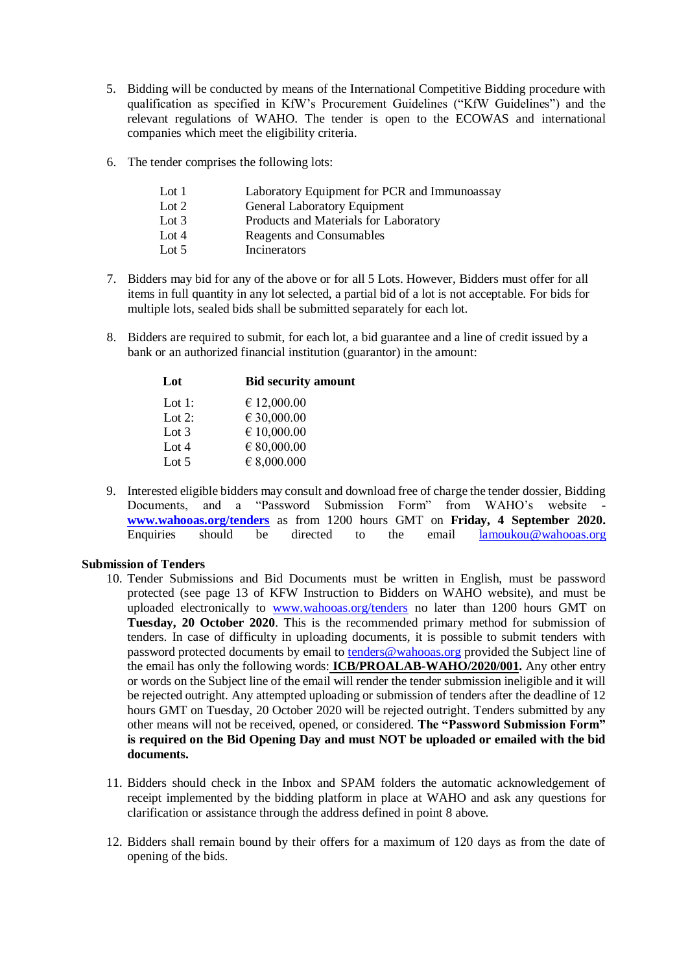- 5. Bidding will be conducted by means of the International Competitive Bidding procedure with qualification as specified in KfW's Procurement Guidelines ("KfW Guidelines") and the relevant regulations of WAHO. The tender is open to the ECOWAS and international companies which meet the eligibility criteria.
- 6. The tender comprises the following lots:

| Lot 1   | Laboratory Equipment for PCR and Immunoassay |
|---------|----------------------------------------------|
| Lot $2$ | General Laboratory Equipment                 |
| Lot $3$ | Products and Materials for Laboratory        |
| Lot $4$ | Reagents and Consumables                     |
| Lot $5$ | Incinerators                                 |

- 7. Bidders may bid for any of the above or for all 5 Lots. However, Bidders must offer for all items in full quantity in any lot selected, a partial bid of a lot is not acceptable. For bids for multiple lots, sealed bids shall be submitted separately for each lot.
- 8. Bidders are required to submit, for each lot, a bid guarantee and a line of credit issued by a bank or an authorized financial institution (guarantor) in the amount:

| Lot     | <b>Bid security amount</b> |
|---------|----------------------------|
| Lot 1:  | € 12,000.00                |
| Lot 2:  | € 30,000.00                |
| Lot $3$ | $\epsilon$ 10,000.00       |
| Lot $4$ | $\in$ 80,000.00            |
| Lot $5$ | $\in$ 8,000.000            |

9. Interested eligible bidders may consult and download free of charge the tender dossier, Bidding Documents, and a "Password Submission Form" from WAHO's website **[www.wahooas.org/tenders](http://www.wahooas.org/tenders)** as from 1200 hours GMT on **Friday, 4 September 2020.** Enquiries should be directed to the email [lamoukou@wahooas.org](mailto:lamoukou@wahooas.org)

### **Submission of Tenders**

- 10. Tender Submissions and Bid Documents must be written in English, must be password protected (see page 13 of KFW Instruction to Bidders on WAHO website), and must be uploaded electronically to [www.wahooas.org/tenders](http://www.wahooas.org/tenders) no later than 1200 hours GMT on **Tuesday, 20 October 2020**. This is the recommended primary method for submission of tenders. In case of difficulty in uploading documents, it is possible to submit tenders with password protected documents by email to [tenders@wahooas.org](mailto:tenders@wahooas.org) provided the Subject line of the email has only the following words: **ICB/PROALAB-WAHO/2020/001.** Any other entry or words on the Subject line of the email will render the tender submission ineligible and it will be rejected outright. Any attempted uploading or submission of tenders after the deadline of 12 hours GMT on Tuesday, 20 October 2020 will be rejected outright. Tenders submitted by any other means will not be received, opened, or considered. **The "Password Submission Form" is required on the Bid Opening Day and must NOT be uploaded or emailed with the bid documents.**
- 11. Bidders should check in the Inbox and SPAM folders the automatic acknowledgement of receipt implemented by the bidding platform in place at WAHO and ask any questions for clarification or assistance through the address defined in point 8 above.
- 12. Bidders shall remain bound by their offers for a maximum of 120 days as from the date of opening of the bids.